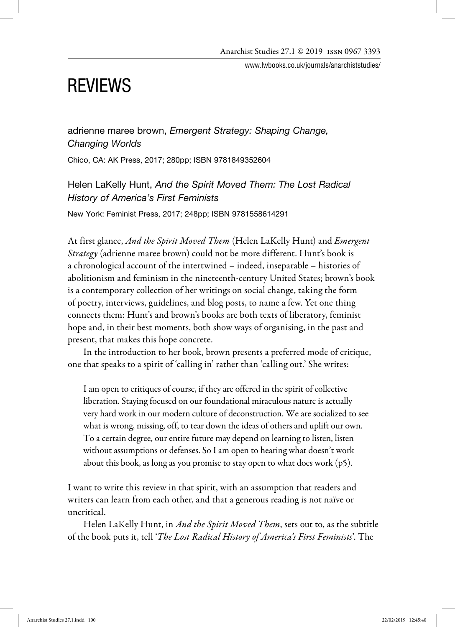www.lwbooks.co.uk/journals/anarchiststudies/

# REVIEWS

adrienne maree brown, Emergent Strategy: Shaping Change, Changing Worlds Chico, CA: AK Press, 2017; 280pp; ISBN 9781849352604

Helen LaKelly Hunt, And the Spirit Moved Them: The Lost Radical History of America's First Feminists

New York: Feminist Press, 2017; 248pp; ISBN 9781558614291

At first glance, *And the Spirit Moved Them* (Helen LaKelly Hunt) and *Emergent Strategy* (adrienne maree brown) could not be more different. Hunt's book is a chronological account of the intertwined – indeed, inseparable – histories of abolitionism and feminism in the nineteenth-century United States; brown's book is a contemporary collection of her writings on social change, taking the form of poetry, interviews, guidelines, and blog posts, to name a few. Yet one thing connects them: Hunt's and brown's books are both texts of liberatory, feminist hope and, in their best moments, both show ways of organising, in the past and present, that makes this hope concrete.

In the introduction to her book, brown presents a preferred mode of critique, one that speaks to a spirit of 'calling in' rather than 'calling out.' She writes:

I am open to critiques of course, if they are offered in the spirit of collective liberation. Staying focused on our foundational miraculous nature is actually very hard work in our modern culture of deconstruction. We are socialized to see what is wrong, missing, off, to tear down the ideas of others and uplift our own. To a certain degree, our entire future may depend on learning to listen, listen without assumptions or defenses. So I am open to hearing what doesn't work about this book, as long as you promise to stay open to what does work (p5).

I want to write this review in that spirit, with an assumption that readers and writers can learn from each other, and that a generous reading is not naïve or uncritical.

Helen LaKelly Hunt, in *And the Spirit Moved Them*, sets out to, as the subtitle of the book puts it, tell '*The Lost Radical History of America's First Feminists*'. The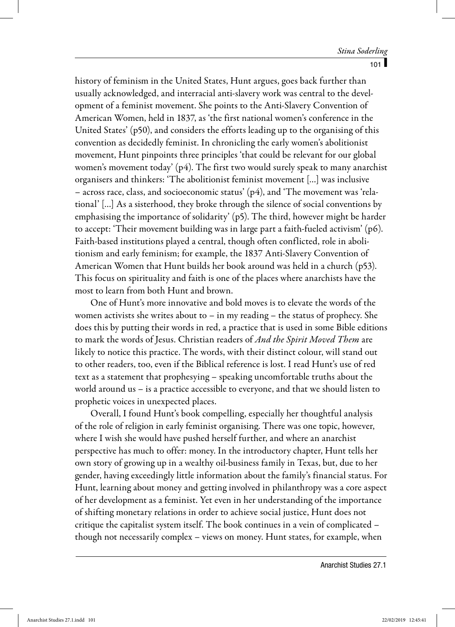history of feminism in the United States, Hunt argues, goes back further than usually acknowledged, and interracial anti-slavery work was central to the development of a feminist movement. She points to the Anti-Slavery Convention of American Women, held in 1837, as 'the first national women's conference in the United States' (p50), and considers the efforts leading up to the organising of this convention as decidedly feminist. In chronicling the early women's abolitionist movement, Hunt pinpoints three principles 'that could be relevant for our global women's movement today'  $(p4)$ . The first two would surely speak to many anarchist organisers and thinkers: 'The abolitionist feminist movement […] was inclusive – across race, class, and socioeconomic status'  $(p4)$ , and 'The movement was 'relational' […] As a sisterhood, they broke through the silence of social conventions by emphasising the importance of solidarity' (p5). The third, however might be harder to accept: 'Their movement building was in large part a faith-fueled activism' (p6). Faith-based institutions played a central, though often conflicted, role in abolitionism and early feminism; for example, the 1837 Anti-Slavery Convention of American Women that Hunt builds her book around was held in a church (p53). This focus on spirituality and faith is one of the places where anarchists have the most to learn from both Hunt and brown.

One of Hunt's more innovative and bold moves is to elevate the words of the women activists she writes about to – in my reading – the status of prophecy. She does this by putting their words in red, a practice that is used in some Bible editions to mark the words of Jesus. Christian readers of *And the Spirit Moved Them* are likely to notice this practice. The words, with their distinct colour, will stand out to other readers, too, even if the Biblical reference is lost. I read Hunt's use of red text as a statement that prophesying – speaking uncomfortable truths about the world around us – is a practice accessible to everyone, and that we should listen to prophetic voices in unexpected places.

Overall, I found Hunt's book compelling, especially her thoughtful analysis of the role of religion in early feminist organising. There was one topic, however, where I wish she would have pushed herself further, and where an anarchist perspective has much to offer: money. In the introductory chapter, Hunt tells her own story of growing up in a wealthy oil-business family in Texas, but, due to her gender, having exceedingly little information about the family's financial status. For Hunt, learning about money and getting involved in philanthropy was a core aspect of her development as a feminist. Yet even in her understanding of the importance of shifting monetary relations in order to achieve social justice, Hunt does not critique the capitalist system itself. The book continues in a vein of complicated – though not necessarily complex – views on money. Hunt states, for example, when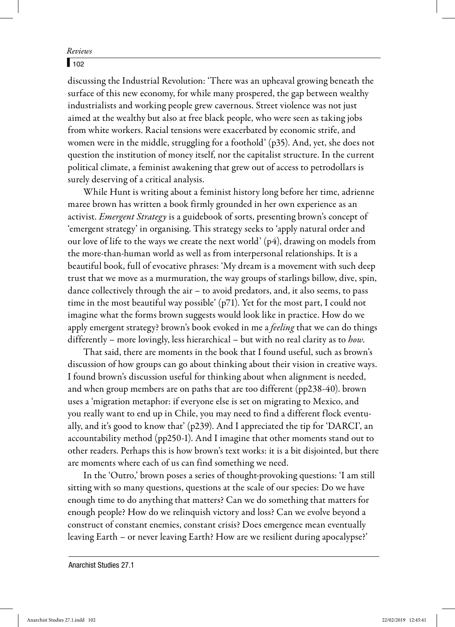## $\Gamma$ <sub>102</sub>

discussing the Industrial Revolution: 'There was an upheaval growing beneath the surface of this new economy, for while many prospered, the gap between wealthy industrialists and working people grew cavernous. Street violence was not just aimed at the wealthy but also at free black people, who were seen as taking jobs from white workers. Racial tensions were exacerbated by economic strife, and women were in the middle, struggling for a foothold' (p35). And, yet, she does not question the institution of money itself, nor the capitalist structure. In the current political climate, a feminist awakening that grew out of access to petrodollars is surely deserving of a critical analysis.

While Hunt is writing about a feminist history long before her time, adrienne maree brown has written a book firmly grounded in her own experience as an activist. *Emergent Strategy* is a guidebook of sorts, presenting brown's concept of 'emergent strategy' in organising. This strategy seeks to 'apply natural order and our love of life to the ways we create the next world'  $(p4)$ , drawing on models from the more-than-human world as well as from interpersonal relationships. It is a beautiful book, full of evocative phrases: 'My dream is a movement with such deep trust that we move as a murmuration, the way groups of starlings billow, dive, spin, dance collectively through the air – to avoid predators, and, it also seems, to pass time in the most beautiful way possible' (p71). Yet for the most part, I could not imagine what the forms brown suggests would look like in practice. How do we apply emergent strategy? brown's book evoked in me a *feeling* that we can do things differently – more lovingly, less hierarchical – but with no real clarity as to *how*.

That said, there are moments in the book that I found useful, such as brown's discussion of how groups can go about thinking about their vision in creative ways. I found brown's discussion useful for thinking about when alignment is needed, and when group members are on paths that are too different (pp238-40). brown uses a 'migration metaphor: if everyone else is set on migrating to Mexico, and you really want to end up in Chile, you may need to find a different flock eventually, and it's good to know that' (p239). And I appreciated the tip for 'DARCI', an accountability method (pp250-1). And I imagine that other moments stand out to other readers. Perhaps this is how brown's text works: it is a bit disjointed, but there are moments where each of us can find something we need.

In the 'Outro,' brown poses a series of thought-provoking questions: 'I am still sitting with so many questions, questions at the scale of our species: Do we have enough time to do anything that matters? Can we do something that matters for enough people? How do we relinquish victory and loss? Can we evolve beyond a construct of constant enemies, constant crisis? Does emergence mean eventually leaving Earth – or never leaving Earth? How are we resilient during apocalypse?'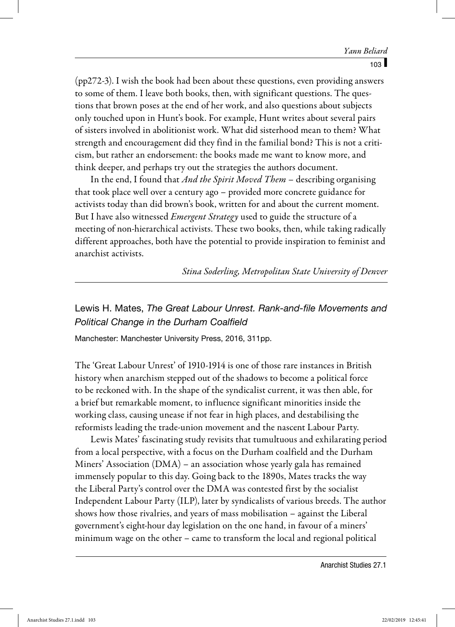(pp272-3). I wish the book had been about these questions, even providing answers to some of them. I leave both books, then, with significant questions. The questions that brown poses at the end of her work, and also questions about subjects only touched upon in Hunt's book. For example, Hunt writes about several pairs of sisters involved in abolitionist work. What did sisterhood mean to them? What strength and encouragement did they find in the familial bond? This is not a criticism, but rather an endorsement: the books made me want to know more, and think deeper, and perhaps try out the strategies the authors document.

In the end, I found that *And the Spirit Moved Them* – describing organising that took place well over a century ago – provided more concrete guidance for activists today than did brown's book, written for and about the current moment. But I have also witnessed *Emergent Strategy* used to guide the structure of a meeting of non-hierarchical activists. These two books, then, while taking radically different approaches, both have the potential to provide inspiration to feminist and anarchist activists.

*Stina Soderling, Metropolitan State University of Denver*

Lewis H. Mates, The Great Labour Unrest. Rank-and-file Movements and Political Change in the Durham Coalfield

Manchester: Manchester University Press, 2016, 311pp.

The 'Great Labour Unrest' of 1910-1914 is one of those rare instances in British history when anarchism stepped out of the shadows to become a political force to be reckoned with. In the shape of the syndicalist current, it was then able, for a brief but remarkable moment, to influence significant minorities inside the working class, causing unease if not fear in high places, and destabilising the reformists leading the trade-union movement and the nascent Labour Party.

Lewis Mates' fascinating study revisits that tumultuous and exhilarating period from a local perspective, with a focus on the Durham coalfield and the Durham Miners' Association (DMA) – an association whose yearly gala has remained immensely popular to this day. Going back to the 1890s, Mates tracks the way the Liberal Party's control over the DMA was contested first by the socialist Independent Labour Party (ILP), later by syndicalists of various breeds. The author shows how those rivalries, and years of mass mobilisation – against the Liberal government's eight-hour day legislation on the one hand, in favour of a miners' minimum wage on the other – came to transform the local and regional political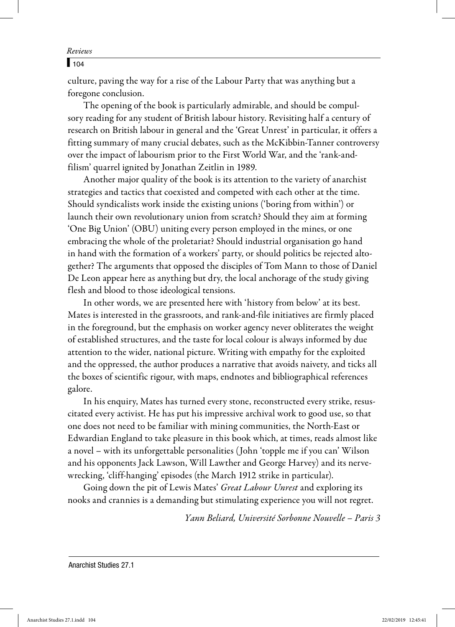$\Gamma$ <sub>104</sub>

culture, paving the way for a rise of the Labour Party that was anything but a foregone conclusion.

The opening of the book is particularly admirable, and should be compulsory reading for any student of British labour history. Revisiting half a century of research on British labour in general and the 'Great Unrest' in particular, it offers a fitting summary of many crucial debates, such as the McKibbin-Tanner controversy over the impact of labourism prior to the First World War, and the 'rank-andfilism' quarrel ignited by Jonathan Zeitlin in 1989.

Another major quality of the book is its attention to the variety of anarchist strategies and tactics that coexisted and competed with each other at the time. Should syndicalists work inside the existing unions ('boring from within') or launch their own revolutionary union from scratch? Should they aim at forming 'One Big Union' (OBU) uniting every person employed in the mines, or one embracing the whole of the proletariat? Should industrial organisation go hand in hand with the formation of a workers' party, or should politics be rejected altogether? The arguments that opposed the disciples of Tom Mann to those of Daniel De Leon appear here as anything but dry, the local anchorage of the study giving flesh and blood to those ideological tensions.

In other words, we are presented here with 'history from below' at its best. Mates is interested in the grassroots, and rank-and-file initiatives are firmly placed in the foreground, but the emphasis on worker agency never obliterates the weight of established structures, and the taste for local colour is always informed by due attention to the wider, national picture. Writing with empathy for the exploited and the oppressed, the author produces a narrative that avoids naivety, and ticks all the boxes of scientific rigour, with maps, endnotes and bibliographical references galore.

In his enquiry, Mates has turned every stone, reconstructed every strike, resuscitated every activist. He has put his impressive archival work to good use, so that one does not need to be familiar with mining communities, the North-East or Edwardian England to take pleasure in this book which, at times, reads almost like a novel – with its unforgettable personalities (John 'topple me if you can' Wilson and his opponents Jack Lawson, Will Lawther and George Harvey) and its nervewrecking, 'cliff-hanging' episodes (the March 1912 strike in particular).

Going down the pit of Lewis Mates' *Great Labour Unrest* and exploring its nooks and crannies is a demanding but stimulating experience you will not regret.

*Yann Beliard, Université Sorbonne Nouvelle – Paris 3*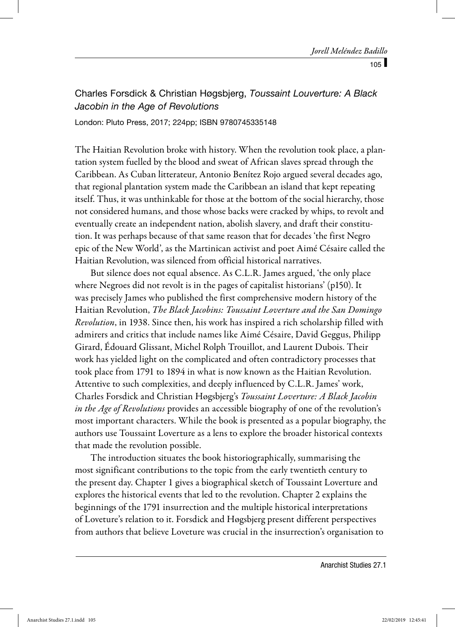Charles Forsdick & Christian Høgsbjerg, Toussaint Louverture: A Black Jacobin in the Age of Revolutions

London: Pluto Press, 2017; 224pp; ISBN 9780745335148

The Haitian Revolution broke with history. When the revolution took place, a plantation system fuelled by the blood and sweat of African slaves spread through the Caribbean. As Cuban litterateur, Antonio Benítez Rojo argued several decades ago, that regional plantation system made the Caribbean an island that kept repeating itself. Thus, it was unthinkable for those at the bottom of the social hierarchy, those not considered humans, and those whose backs were cracked by whips, to revolt and eventually create an independent nation, abolish slavery, and draft their constitution. It was perhaps because of that same reason that for decades 'the first Negro epic of the New World', as the Martinican activist and poet Aimé Césaire called the Haitian Revolution, was silenced from official historical narratives.

But silence does not equal absence. As C.L.R. James argued, 'the only place where Negroes did not revolt is in the pages of capitalist historians' (p150). It was precisely James who published the first comprehensive modern history of the Haitian Revolution, *The Black Jacobins: Toussaint Loverture and the San Domingo Revolution*, in 1938. Since then, his work has inspired a rich scholarship filled with admirers and critics that include names like Aimé Césaire, David Geggus, Philipp Girard, Édouard Glissant, Michel Rolph Trouillot, and Laurent Dubois. Their work has yielded light on the complicated and often contradictory processes that took place from 1791 to 1894 in what is now known as the Haitian Revolution. Attentive to such complexities, and deeply influenced by C.L.R. James' work, Charles Forsdick and Christian Høgsbjerg's *Toussaint Loverture: A Black Jacobin in the Age of Revolutions* provides an accessible biography of one of the revolution's most important characters. While the book is presented as a popular biography, the authors use Toussaint Loverture as a lens to explore the broader historical contexts that made the revolution possible.

The introduction situates the book historiographically, summarising the most significant contributions to the topic from the early twentieth century to the present day. Chapter 1 gives a biographical sketch of Toussaint Loverture and explores the historical events that led to the revolution. Chapter 2 explains the beginnings of the 1791 insurrection and the multiple historical interpretations of Loveture's relation to it. Forsdick and Høgsbjerg present different perspectives from authors that believe Loveture was crucial in the insurrection's organisation to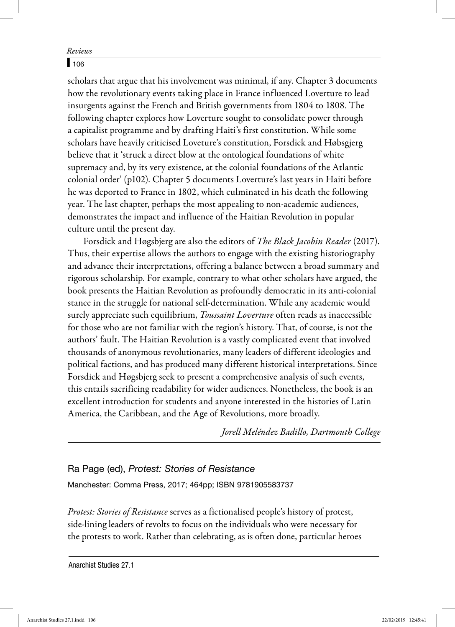## $\Gamma$ <sub>106</sub>

scholars that argue that his involvement was minimal, if any. Chapter 3 documents how the revolutionary events taking place in France influenced Loverture to lead insurgents against the French and British governments from 1804 to 1808. The following chapter explores how Loverture sought to consolidate power through a capitalist programme and by drafting Haiti's first constitution. While some scholars have heavily criticised Loveture's constitution, Forsdick and Høbsgjerg believe that it 'struck a direct blow at the ontological foundations of white supremacy and, by its very existence, at the colonial foundations of the Atlantic colonial order' (p102). Chapter 5 documents Loverture's last years in Haiti before he was deported to France in 1802, which culminated in his death the following year. The last chapter, perhaps the most appealing to non-academic audiences, demonstrates the impact and influence of the Haitian Revolution in popular culture until the present day.

Forsdick and Høgsbjerg are also the editors of *The Black Jacobin Reader* (2017). Thus, their expertise allows the authors to engage with the existing historiography and advance their interpretations, offering a balance between a broad summary and rigorous scholarship. For example, contrary to what other scholars have argued, the book presents the Haitian Revolution as profoundly democratic in its anti-colonial stance in the struggle for national self-determination. While any academic would surely appreciate such equilibrium, *Toussaint Loverture* often reads as inaccessible for those who are not familiar with the region's history. That, of course, is not the authors' fault. The Haitian Revolution is a vastly complicated event that involved thousands of anonymous revolutionaries, many leaders of different ideologies and political factions, and has produced many different historical interpretations. Since Forsdick and Høgsbjerg seek to present a comprehensive analysis of such events, this entails sacrificing readability for wider audiences. Nonetheless, the book is an excellent introduction for students and anyone interested in the histories of Latin America, the Caribbean, and the Age of Revolutions, more broadly.

*Jorell Meléndez Badillo, Dartmouth College*

## Ra Page (ed), Protest: Stories of Resistance

Manchester: Comma Press, 2017; 464pp; ISBN 9781905583737

*Protest: Stories of Resistance* serves as a fictionalised people's history of protest, side-lining leaders of revolts to focus on the individuals who were necessary for the protests to work. Rather than celebrating, as is often done, particular heroes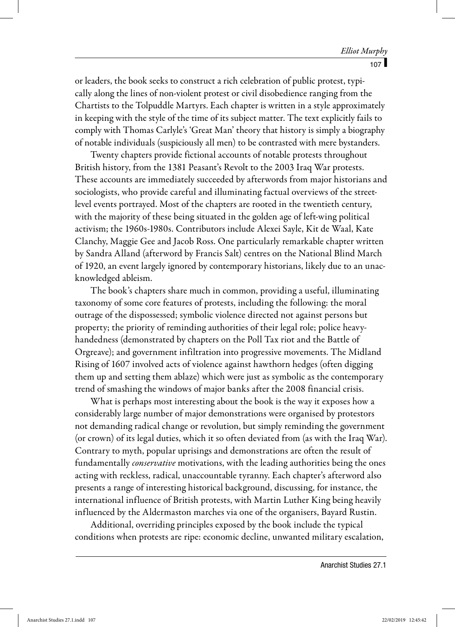or leaders, the book seeks to construct a rich celebration of public protest, typically along the lines of non-violent protest or civil disobedience ranging from the Chartists to the Tolpuddle Martyrs. Each chapter is written in a style approximately in keeping with the style of the time of its subject matter. The text explicitly fails to comply with Thomas Carlyle's 'Great Man' theory that history is simply a biography of notable individuals (suspiciously all men) to be contrasted with mere bystanders.

Twenty chapters provide fictional accounts of notable protests throughout British history, from the 1381 Peasant's Revolt to the 2003 Iraq War protests. These accounts are immediately succeeded by afterwords from major historians and sociologists, who provide careful and illuminating factual overviews of the streetlevel events portrayed. Most of the chapters are rooted in the twentieth century, with the majority of these being situated in the golden age of left-wing political activism; the 1960s-1980s. Contributors include Alexei Sayle, Kit de Waal, Kate Clanchy, Maggie Gee and Jacob Ross. One particularly remarkable chapter written by Sandra Alland (afterword by Francis Salt) centres on the National Blind March of 1920, an event largely ignored by contemporary historians, likely due to an unacknowledged ableism.

The book's chapters share much in common, providing a useful, illuminating taxonomy of some core features of protests, including the following: the moral outrage of the dispossessed; symbolic violence directed not against persons but property; the priority of reminding authorities of their legal role; police heavyhandedness (demonstrated by chapters on the Poll Tax riot and the Battle of Orgreave); and government infiltration into progressive movements. The Midland Rising of 1607 involved acts of violence against hawthorn hedges (often digging them up and setting them ablaze) which were just as symbolic as the contemporary trend of smashing the windows of major banks after the 2008 financial crisis.

What is perhaps most interesting about the book is the way it exposes how a considerably large number of major demonstrations were organised by protestors not demanding radical change or revolution, but simply reminding the government (or crown) of its legal duties, which it so often deviated from (as with the Iraq War). Contrary to myth, popular uprisings and demonstrations are often the result of fundamentally *conservative* motivations, with the leading authorities being the ones acting with reckless, radical, unaccountable tyranny. Each chapter's afterword also presents a range of interesting historical background, discussing, for instance, the international influence of British protests, with Martin Luther King being heavily influenced by the Aldermaston marches via one of the organisers, Bayard Rustin.

Additional, overriding principles exposed by the book include the typical conditions when protests are ripe: economic decline, unwanted military escalation,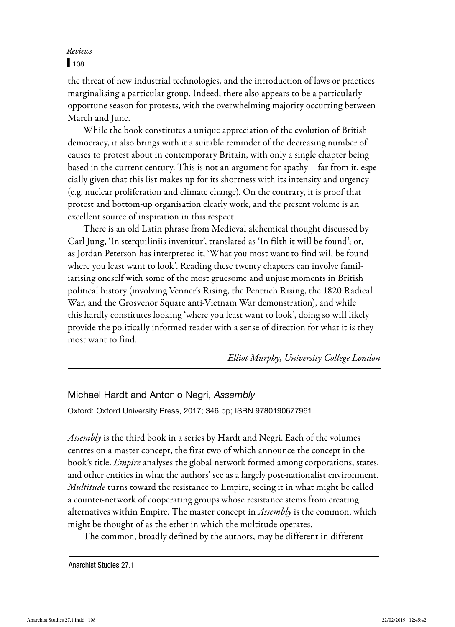## $\Gamma$ <sub>108</sub>

the threat of new industrial technologies, and the introduction of laws or practices marginalising a particular group. Indeed, there also appears to be a particularly opportune season for protests, with the overwhelming majority occurring between March and June.

While the book constitutes a unique appreciation of the evolution of British democracy, it also brings with it a suitable reminder of the decreasing number of causes to protest about in contemporary Britain, with only a single chapter being based in the current century. This is not an argument for apathy – far from it, especially given that this list makes up for its shortness with its intensity and urgency (e.g. nuclear proliferation and climate change). On the contrary, it is proof that protest and bottom-up organisation clearly work, and the present volume is an excellent source of inspiration in this respect.

There is an old Latin phrase from Medieval alchemical thought discussed by Carl Jung, 'In sterquiliniis invenitur', translated as 'In filth it will be found'; or, as Jordan Peterson has interpreted it, 'What you most want to find will be found where you least want to look'. Reading these twenty chapters can involve familiarising oneself with some of the most gruesome and unjust moments in British political history (involving Venner's Rising, the Pentrich Rising, the 1820 Radical War, and the Grosvenor Square anti-Vietnam War demonstration), and while this hardly constitutes looking 'where you least want to look', doing so will likely provide the politically informed reader with a sense of direction for what it is they most want to find.

*Elliot Murphy, University College London*

#### Michael Hardt and Antonio Negri, Assembly

Oxford: Oxford University Press, 2017; 346 pp; ISBN 9780190677961

*Assembly* is the third book in a series by Hardt and Negri. Each of the volumes centres on a master concept, the first two of which announce the concept in the book's title. *Empire* analyses the global network formed among corporations, states, and other entities in what the authors' see as a largely post-nationalist environment. *Multitude* turns toward the resistance to Empire, seeing it in what might be called a counter-network of cooperating groups whose resistance stems from creating alternatives within Empire. The master concept in *Assembly* is the common, which might be thought of as the ether in which the multitude operates.

The common, broadly defined by the authors, may be different in different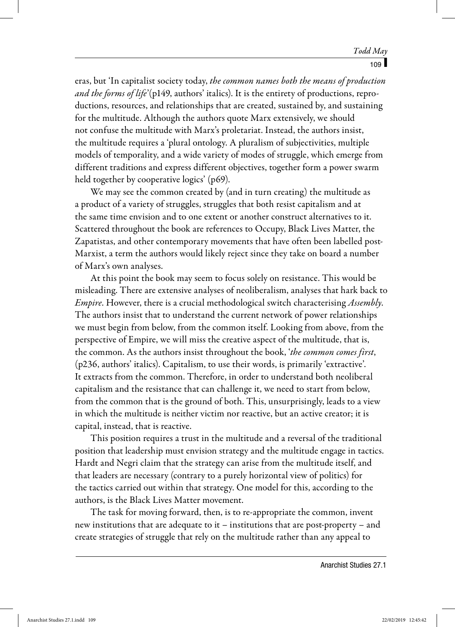$109<sup>1</sup>$ 

eras, but 'In capitalist society today, *the common names both the means of production and the forms of life*'(p149, authors' italics). It is the entirety of productions, reproductions, resources, and relationships that are created, sustained by, and sustaining for the multitude. Although the authors quote Marx extensively, we should not confuse the multitude with Marx's proletariat. Instead, the authors insist, the multitude requires a 'plural ontology. A pluralism of subjectivities, multiple models of temporality, and a wide variety of modes of struggle, which emerge from different traditions and express different objectives, together form a power swarm held together by cooperative logics' (p69).

We may see the common created by (and in turn creating) the multitude as a product of a variety of struggles, struggles that both resist capitalism and at the same time envision and to one extent or another construct alternatives to it. Scattered throughout the book are references to Occupy, Black Lives Matter, the Zapatistas, and other contemporary movements that have often been labelled post-Marxist, a term the authors would likely reject since they take on board a number of Marx's own analyses.

At this point the book may seem to focus solely on resistance. This would be misleading. There are extensive analyses of neoliberalism, analyses that hark back to *Empire*. However, there is a crucial methodological switch characterising *Assembly*. The authors insist that to understand the current network of power relationships we must begin from below, from the common itself. Looking from above, from the perspective of Empire, we will miss the creative aspect of the multitude, that is, the common. As the authors insist throughout the book, '*the common comes first*, (p236, authors' italics). Capitalism, to use their words, is primarily 'extractive'. It extracts from the common. Therefore, in order to understand both neoliberal capitalism and the resistance that can challenge it, we need to start from below, from the common that is the ground of both. This, unsurprisingly, leads to a view in which the multitude is neither victim nor reactive, but an active creator; it is capital, instead, that is reactive.

This position requires a trust in the multitude and a reversal of the traditional position that leadership must envision strategy and the multitude engage in tactics. Hardt and Negri claim that the strategy can arise from the multitude itself, and that leaders are necessary (contrary to a purely horizontal view of politics) for the tactics carried out within that strategy. One model for this, according to the authors, is the Black Lives Matter movement.

The task for moving forward, then, is to re-appropriate the common, invent new institutions that are adequate to it – institutions that are post-property – and create strategies of struggle that rely on the multitude rather than any appeal to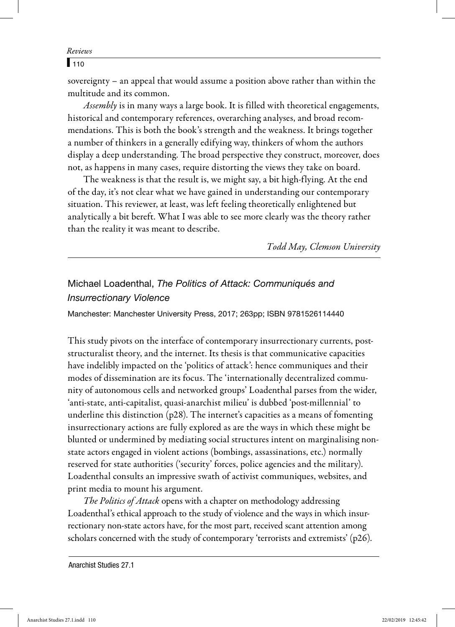## $\Gamma$ <sub>110</sub>

sovereignty – an appeal that would assume a position above rather than within the multitude and its common.

*Assembly* is in many ways a large book. It is filled with theoretical engagements, historical and contemporary references, overarching analyses, and broad recommendations. This is both the book's strength and the weakness. It brings together a number of thinkers in a generally edifying way, thinkers of whom the authors display a deep understanding. The broad perspective they construct, moreover, does not, as happens in many cases, require distorting the views they take on board.

The weakness is that the result is, we might say, a bit high-flying. At the end of the day, it's not clear what we have gained in understanding our contemporary situation. This reviewer, at least, was left feeling theoretically enlightened but analytically a bit bereft. What I was able to see more clearly was the theory rather than the reality it was meant to describe.

*Todd May, Clemson University*

# Michael Loadenthal, The Politics of Attack: Communiqués and Insurrectionary Violence

Manchester: Manchester University Press, 2017; 263pp; ISBN 9781526114440

This study pivots on the interface of contemporary insurrectionary currents, poststructuralist theory, and the internet. Its thesis is that communicative capacities have indelibly impacted on the 'politics of attack': hence communiques and their modes of dissemination are its focus. The 'internationally decentralized community of autonomous cells and networked groups' Loadenthal parses from the wider, 'anti-state, anti-capitalist, quasi-anarchist milieu' is dubbed 'post-millennial' to underline this distinction (p28). The internet's capacities as a means of fomenting insurrectionary actions are fully explored as are the ways in which these might be blunted or undermined by mediating social structures intent on marginalising nonstate actors engaged in violent actions (bombings, assassinations, etc.) normally reserved for state authorities ('security' forces, police agencies and the military). Loadenthal consults an impressive swath of activist communiques, websites, and print media to mount his argument.

*The Politics of Attack* opens with a chapter on methodology addressing Loadenthal's ethical approach to the study of violence and the ways in which insurrectionary non-state actors have, for the most part, received scant attention among scholars concerned with the study of contemporary 'terrorists and extremists' (p26).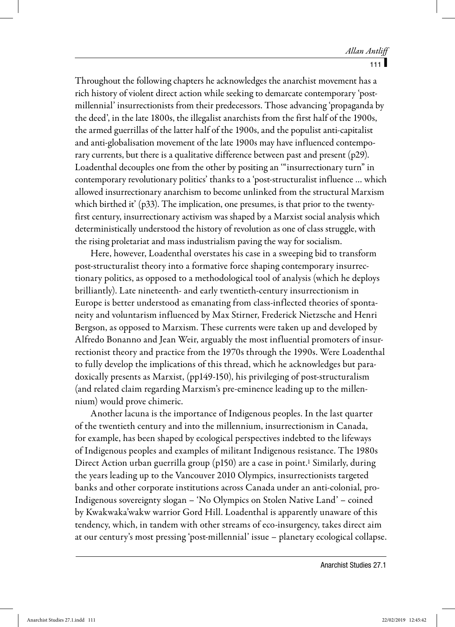Throughout the following chapters he acknowledges the anarchist movement has a rich history of violent direct action while seeking to demarcate contemporary 'postmillennial' insurrectionists from their predecessors. Those advancing 'propaganda by the deed', in the late 1800s, the illegalist anarchists from the first half of the 1900s, the armed guerrillas of the latter half of the 1900s, and the populist anti-capitalist and anti-globalisation movement of the late 1900s may have influenced contemporary currents, but there is a qualitative difference between past and present (p29). Loadenthal decouples one from the other by positing an '"insurrectionary turn" in contemporary revolutionary politics' thanks to a 'post-structuralist influence … which allowed insurrectionary anarchism to become unlinked from the structural Marxism which birthed it' (p33). The implication, one presumes, is that prior to the twentyfirst century, insurrectionary activism was shaped by a Marxist social analysis which deterministically understood the history of revolution as one of class struggle, with the rising proletariat and mass industrialism paving the way for socialism.

Here, however, Loadenthal overstates his case in a sweeping bid to transform post-structuralist theory into a formative force shaping contemporary insurrectionary politics, as opposed to a methodological tool of analysis (which he deploys brilliantly). Late nineteenth- and early twentieth-century insurrectionism in Europe is better understood as emanating from class-inflected theories of spontaneity and voluntarism influenced by Max Stirner, Frederick Nietzsche and Henri Bergson, as opposed to Marxism. These currents were taken up and developed by Alfredo Bonanno and Jean Weir, arguably the most influential promoters of insurrectionist theory and practice from the 1970s through the 1990s. Were Loadenthal to fully develop the implications of this thread, which he acknowledges but paradoxically presents as Marxist, (pp149-150), his privileging of post-structuralism (and related claim regarding Marxism's pre-eminence leading up to the millennium) would prove chimeric.

Another lacuna is the importance of Indigenous peoples. In the last quarter of the twentieth century and into the millennium, insurrectionism in Canada, for example, has been shaped by ecological perspectives indebted to the lifeways of Indigenous peoples and examples of militant Indigenous resistance. The 1980s Direct Action urban guerrilla group (p150) are a case in point.<sup>1</sup> Similarly, during the years leading up to the Vancouver 2010 Olympics, insurrectionists targeted banks and other corporate institutions across Canada under an anti-colonial, pro-Indigenous sovereignty slogan – 'No Olympics on Stolen Native Land' – coined by Kwakwaka'wakw warrior Gord Hill. Loadenthal is apparently unaware of this tendency, which, in tandem with other streams of eco-insurgency, takes direct aim at our century's most pressing 'post-millennial' issue – planetary ecological collapse.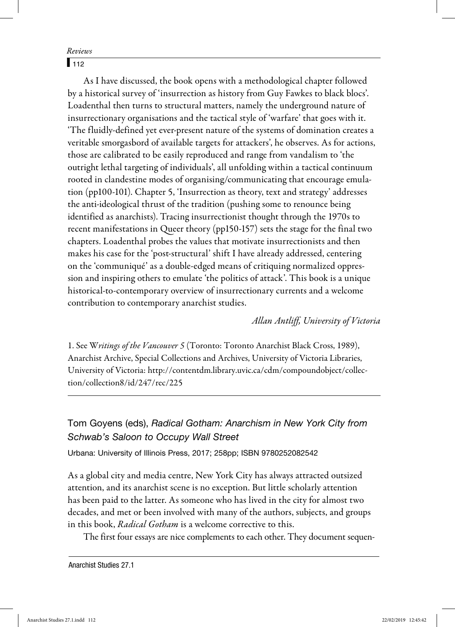$\sqrt{112}$ 

As I have discussed, the book opens with a methodological chapter followed by a historical survey of 'insurrection as history from Guy Fawkes to black blocs'. Loadenthal then turns to structural matters, namely the underground nature of insurrectionary organisations and the tactical style of 'warfare' that goes with it. 'The fluidly-defined yet ever-present nature of the systems of domination creates a veritable smorgasbord of available targets for attackers', he observes. As for actions, those are calibrated to be easily reproduced and range from vandalism to 'the outright lethal targeting of individuals', all unfolding within a tactical continuum rooted in clandestine modes of organising/communicating that encourage emulation (pp100-101). Chapter 5, 'Insurrection as theory, text and strategy' addresses the anti-ideological thrust of the tradition (pushing some to renounce being identified as anarchists). Tracing insurrectionist thought through the 1970s to recent manifestations in Queer theory (pp150-157) sets the stage for the final two chapters. Loadenthal probes the values that motivate insurrectionists and then makes his case for the 'post-structural' shift I have already addressed, centering on the 'communiqué' as a double-edged means of critiquing normalized oppression and inspiring others to emulate 'the politics of attack'. This book is a unique historical-to-contemporary overview of insurrectionary currents and a welcome contribution to contemporary anarchist studies.

#### *Allan Antliff, University of Victoria*

1. See W*ritings of the Vancouver 5* (Toronto: Toronto Anarchist Black Cross, 1989), Anarchist Archive, Special Collections and Archives, University of Victoria Libraries, University of Victoria: http://contentdm.library.uvic.ca/cdm/compoundobject/collection/collection8/id/247/rec/225

## Tom Goyens (eds), Radical Gotham: Anarchism in New York City from Schwab's Saloon to Occupy Wall Street

Urbana: University of Illinois Press, 2017; 258pp; ISBN 9780252082542

As a global city and media centre, New York City has always attracted outsized attention, and its anarchist scene is no exception. But little scholarly attention has been paid to the latter. As someone who has lived in the city for almost two decades, and met or been involved with many of the authors, subjects, and groups in this book, *Radical Gotham* is a welcome corrective to this.

The first four essays are nice complements to each other. They document sequen-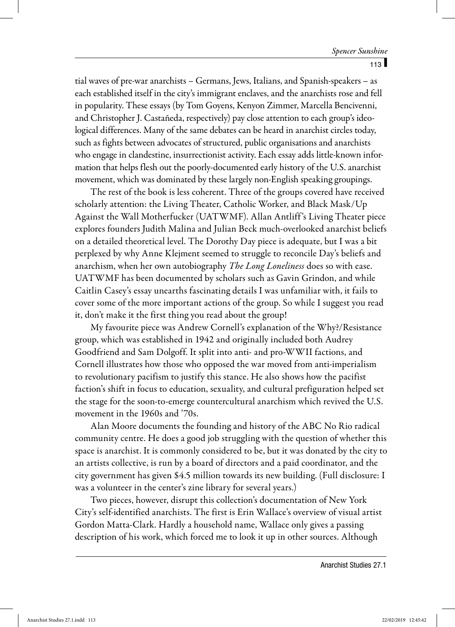$113$   $\blacksquare$ 

tial waves of pre-war anarchists – Germans, Jews, Italians, and Spanish-speakers – as each established itself in the city's immigrant enclaves, and the anarchists rose and fell in popularity. These essays (by Tom Goyens, Kenyon Zimmer, Marcella Bencivenni, and Christopher J. Castañeda, respectively) pay close attention to each group's ideological differences. Many of the same debates can be heard in anarchist circles today, such as fights between advocates of structured, public organisations and anarchists who engage in clandestine, insurrectionist activity. Each essay adds little-known information that helps flesh out the poorly-documented early history of the U.S. anarchist movement, which was dominated by these largely non-English speaking groupings.

The rest of the book is less coherent. Three of the groups covered have received scholarly attention: the Living Theater, Catholic Worker, and Black Mask/Up Against the Wall Motherfucker (UATWMF). Allan Antliff 's Living Theater piece explores founders Judith Malina and Julian Beck much-overlooked anarchist beliefs on a detailed theoretical level. The Dorothy Day piece is adequate, but I was a bit perplexed by why Anne Klejment seemed to struggle to reconcile Day's beliefs and anarchism, when her own autobiography *The Long Loneliness* does so with ease. UATWMF has been documented by scholars such as Gavin Grindon, and while Caitlin Casey's essay unearths fascinating details I was unfamiliar with, it fails to cover some of the more important actions of the group. So while I suggest you read it, don't make it the first thing you read about the group!

My favourite piece was Andrew Cornell's explanation of the Why?/Resistance group, which was established in 1942 and originally included both Audrey Goodfriend and Sam Dolgoff. It split into anti- and pro-WWII factions, and Cornell illustrates how those who opposed the war moved from anti-imperialism to revolutionary pacifism to justify this stance. He also shows how the pacifist faction's shift in focus to education, sexuality, and cultural prefiguration helped set the stage for the soon-to-emerge countercultural anarchism which revived the U.S. movement in the 1960s and '70s.

Alan Moore documents the founding and history of the ABC No Rio radical community centre. He does a good job struggling with the question of whether this space is anarchist. It is commonly considered to be, but it was donated by the city to an artists collective, is run by a board of directors and a paid coordinator, and the city government has given \$4.5 million towards its new building. (Full disclosure: I was a volunteer in the center's zine library for several years.)

Two pieces, however, disrupt this collection's documentation of New York City's self-identified anarchists. The first is Erin Wallace's overview of visual artist Gordon Matta-Clark. Hardly a household name, Wallace only gives a passing description of his work, which forced me to look it up in other sources. Although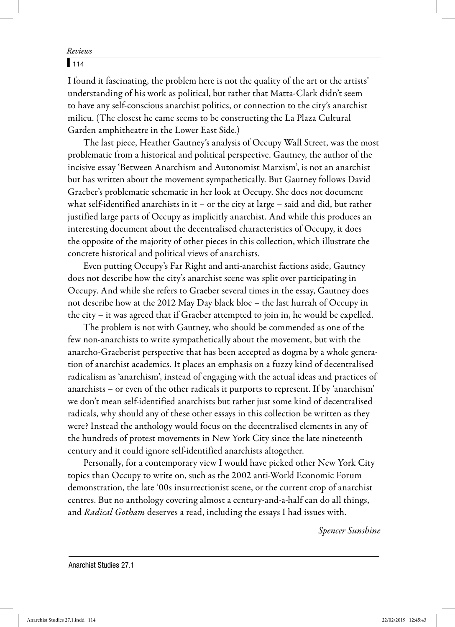## $\sqrt{114}$

I found it fascinating, the problem here is not the quality of the art or the artists' understanding of his work as political, but rather that Matta-Clark didn't seem to have any self-conscious anarchist politics, or connection to the city's anarchist milieu. (The closest he came seems to be constructing the La Plaza Cultural Garden amphitheatre in the Lower East Side.)

The last piece, Heather Gautney's analysis of Occupy Wall Street, was the most problematic from a historical and political perspective. Gautney, the author of the incisive essay 'Between Anarchism and Autonomist Marxism', is not an anarchist but has written about the movement sympathetically. But Gautney follows David Graeber's problematic schematic in her look at Occupy. She does not document what self-identified anarchists in it – or the city at large – said and did, but rather justified large parts of Occupy as implicitly anarchist. And while this produces an interesting document about the decentralised characteristics of Occupy, it does the opposite of the majority of other pieces in this collection, which illustrate the concrete historical and political views of anarchists.

Even putting Occupy's Far Right and anti-anarchist factions aside, Gautney does not describe how the city's anarchist scene was split over participating in Occupy. And while she refers to Graeber several times in the essay, Gautney does not describe how at the 2012 May Day black bloc – the last hurrah of Occupy in the city – it was agreed that if Graeber attempted to join in, he would be expelled.

The problem is not with Gautney, who should be commended as one of the few non-anarchists to write sympathetically about the movement, but with the anarcho-Graeberist perspective that has been accepted as dogma by a whole generation of anarchist academics. It places an emphasis on a fuzzy kind of decentralised radicalism as 'anarchism', instead of engaging with the actual ideas and practices of anarchists – or even of the other radicals it purports to represent. If by 'anarchism' we don't mean self-identified anarchists but rather just some kind of decentralised radicals, why should any of these other essays in this collection be written as they were? Instead the anthology would focus on the decentralised elements in any of the hundreds of protest movements in New York City since the late nineteenth century and it could ignore self-identified anarchists altogether.

Personally, for a contemporary view I would have picked other New York City topics than Occupy to write on, such as the 2002 anti-World Economic Forum demonstration, the late '00s insurrectionist scene, or the current crop of anarchist centres. But no anthology covering almost a century-and-a-half can do all things, and *Radical Gotham* deserves a read, including the essays I had issues with.

*Spencer Sunshine*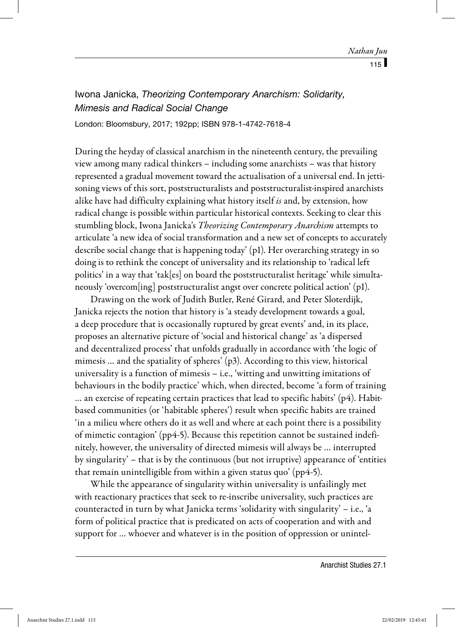## Nathan Jun

 $115$ 

# Iwona Janicka, Theorizing Contemporary Anarchism: Solidarity, Mimesis and Radical Social Change

London: Bloomsbury, 2017; 192pp; ISBN 978-1-4742-7618-4

During the heyday of classical anarchism in the nineteenth century, the prevailing view among many radical thinkers – including some anarchists – was that history represented a gradual movement toward the actualisation of a universal end. In jettisoning views of this sort, poststructuralists and poststructuralist-inspired anarchists alike have had difficulty explaining what history itself *is* and, by extension, how radical change is possible within particular historical contexts. Seeking to clear this stumbling block, Iwona Janicka's *Theorizing Contemporary Anarchism* attempts to articulate 'a new idea of social transformation and a new set of concepts to accurately describe social change that is happening today' (p1). Her overarching strategy in so doing is to rethink the concept of universality and its relationship to 'radical left politics' in a way that 'tak[es] on board the poststructuralist heritage' while simultaneously 'overcom[ing] poststructuralist angst over concrete political action' (p1).

Drawing on the work of Judith Butler, René Girard, and Peter Sloterdijk, Janicka rejects the notion that history is 'a steady development towards a goal, a deep procedure that is occasionally ruptured by great events' and, in its place, proposes an alternative picture of 'social and historical change' as 'a dispersed and decentralized process' that unfolds gradually in accordance with 'the logic of mimesis … and the spatiality of spheres' (p3). According to this view, historical universality is a function of mimesis – i.e., 'witting and unwitting imitations of behaviours in the bodily practice' which, when directed, become 'a form of training … an exercise of repeating certain practices that lead to specific habits' (p4). Habitbased communities (or 'habitable spheres') result when specific habits are trained 'in a milieu where others do it as well and where at each point there is a possibility of mimetic contagion' (pp4-5). Because this repetition cannot be sustained indefinitely, however, the universality of directed mimesis will always be … interrupted by singularity' – that is by the continuous (but not irruptive) appearance of 'entities that remain unintelligible from within a given status quo' (pp4-5).

While the appearance of singularity within universality is unfailingly met with reactionary practices that seek to re-inscribe universality, such practices are counteracted in turn by what Janicka terms 'solidarity with singularity' – i.e., 'a form of political practice that is predicated on acts of cooperation and with and support for … whoever and whatever is in the position of oppression or unintel-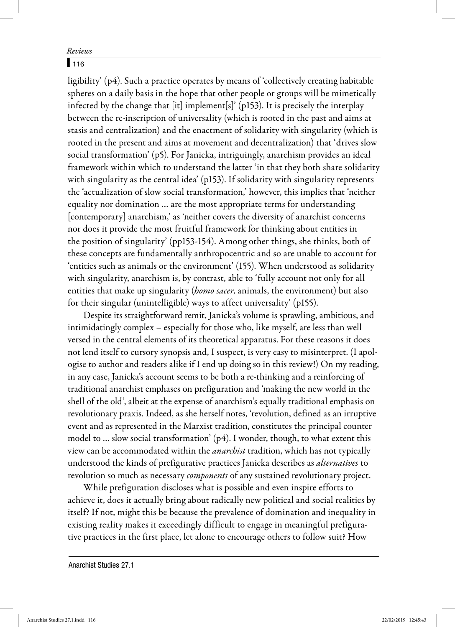## $\Gamma$ <sub>116</sub>

ligibility' (p4). Such a practice operates by means of 'collectively creating habitable spheres on a daily basis in the hope that other people or groups will be mimetically infected by the change that [it] implement[s]' (p153). It is precisely the interplay between the re-inscription of universality (which is rooted in the past and aims at stasis and centralization) and the enactment of solidarity with singularity (which is rooted in the present and aims at movement and decentralization) that 'drives slow social transformation' (p5). For Janicka, intriguingly, anarchism provides an ideal framework within which to understand the latter 'in that they both share solidarity with singularity as the central idea' (p153). If solidarity with singularity represents the 'actualization of slow social transformation,' however, this implies that 'neither equality nor domination … are the most appropriate terms for understanding [contemporary] anarchism,' as 'neither covers the diversity of anarchist concerns nor does it provide the most fruitful framework for thinking about entities in the position of singularity' (pp153-154). Among other things, she thinks, both of these concepts are fundamentally anthropocentric and so are unable to account for 'entities such as animals or the environment' (155). When understood as solidarity with singularity, anarchism is, by contrast, able to 'fully account not only for all entities that make up singularity (*homo sacer*, animals, the environment) but also for their singular (unintelligible) ways to affect universality' (p155).

Despite its straightforward remit, Janicka's volume is sprawling, ambitious, and intimidatingly complex – especially for those who, like myself, are less than well versed in the central elements of its theoretical apparatus. For these reasons it does not lend itself to cursory synopsis and, I suspect, is very easy to misinterpret. (I apologise to author and readers alike if I end up doing so in this review!) On my reading, in any case, Janicka's account seems to be both a re-thinking and a reinforcing of traditional anarchist emphases on prefiguration and 'making the new world in the shell of the old', albeit at the expense of anarchism's equally traditional emphasis on revolutionary praxis. Indeed, as she herself notes, 'revolution, defined as an irruptive event and as represented in the Marxist tradition, constitutes the principal counter model to … slow social transformation' (p4). I wonder, though, to what extent this view can be accommodated within the *anarchist* tradition, which has not typically understood the kinds of prefigurative practices Janicka describes as *alternatives* to revolution so much as necessary *components* of any sustained revolutionary project.

While prefiguration discloses what is possible and even inspire efforts to achieve it, does it actually bring about radically new political and social realities by itself? If not, might this be because the prevalence of domination and inequality in existing reality makes it exceedingly difficult to engage in meaningful prefigurative practices in the first place, let alone to encourage others to follow suit? How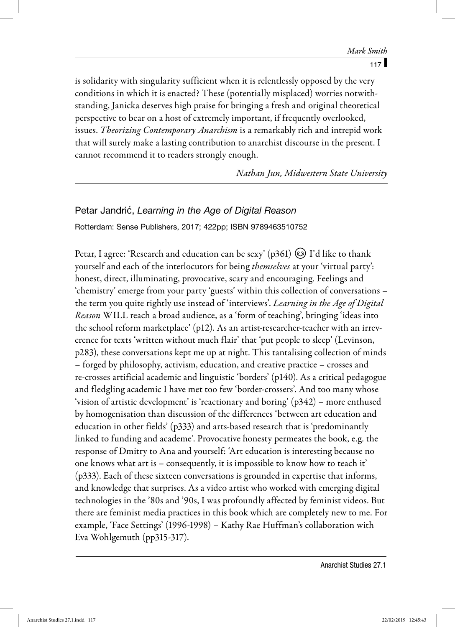is solidarity with singularity sufficient when it is relentlessly opposed by the very conditions in which it is enacted? These (potentially misplaced) worries notwithstanding, Janicka deserves high praise for bringing a fresh and original theoretical perspective to bear on a host of extremely important, if frequently overlooked, issues. *Theorizing Contemporary Anarchism* is a remarkably rich and intrepid work that will surely make a lasting contribution to anarchist discourse in the present. I cannot recommend it to readers strongly enough.

*Nathan Jun, Midwestern State University*

# Petar Jandrić, Learning in the Age of Digital Reason Rotterdam: Sense Publishers, 2017; 422pp; ISBN 9789463510752

Petar, I agree: 'Research and education can be sexy' (p361) I'd like to thank yourself and each of the interlocutors for being *themselves* at your 'virtual party': honest, direct, illuminating, provocative, scary and encouraging. Feelings and 'chemistry' emerge from your party 'guests' within this collection of conversations – the term you quite rightly use instead of 'interviews'. *Learning in the Age of Digital Reason* WILL reach a broad audience, as a 'form of teaching', bringing 'ideas into the school reform marketplace' (p12). As an artist-researcher-teacher with an irreverence for texts 'written without much flair' that 'put people to sleep' (Levinson, p283), these conversations kept me up at night. This tantalising collection of minds – forged by philosophy, activism, education, and creative practice – crosses and re-crosses artificial academic and linguistic 'borders' (p140). As a critical pedagogue and fledgling academic I have met too few 'border-crossers'. And too many whose 'vision of artistic development' is 'reactionary and boring' (p342) – more enthused by homogenisation than discussion of the differences 'between art education and education in other fields' (p333) and arts-based research that is 'predominantly linked to funding and academe'. Provocative honesty permeates the book, e.g. the response of Dmitry to Ana and yourself: 'Art education is interesting because no one knows what art is – consequently, it is impossible to know how to teach it' (p333). Each of these sixteen conversations is grounded in expertise that informs, and knowledge that surprises. As a video artist who worked with emerging digital technologies in the '80s and '90s, I was profoundly affected by feminist videos. But there are feminist media practices in this book which are completely new to me. For example, 'Face Settings' (1996-1998) – Kathy Rae Huffman's collaboration with Eva Wohlgemuth (pp315-317).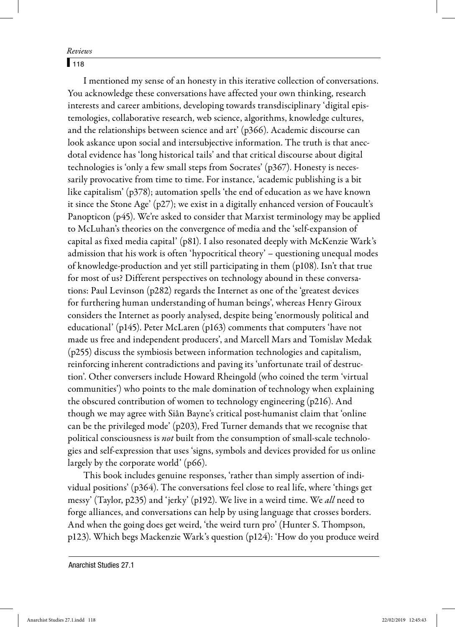$\sqrt{118}$ 

I mentioned my sense of an honesty in this iterative collection of conversations. You acknowledge these conversations have affected your own thinking, research interests and career ambitions, developing towards transdisciplinary 'digital epistemologies, collaborative research, web science, algorithms, knowledge cultures, and the relationships between science and art' (p366). Academic discourse can look askance upon social and intersubjective information. The truth is that anecdotal evidence has 'long historical tails' and that critical discourse about digital technologies is 'only a few small steps from Socrates' (p367). Honesty is necessarily provocative from time to time. For instance, 'academic publishing is a bit like capitalism' (p378); automation spells 'the end of education as we have known it since the Stone Age' (p27); we exist in a digitally enhanced version of Foucault's Panopticon (p45). We're asked to consider that Marxist terminology may be applied to McLuhan's theories on the convergence of media and the 'self-expansion of capital as fixed media capital' (p81). I also resonated deeply with McKenzie Wark's admission that his work is often 'hypocritical theory' – questioning unequal modes of knowledge-production and yet still participating in them (p108). Isn't that true for most of us? Different perspectives on technology abound in these conversations: Paul Levinson (p282) regards the Internet as one of the 'greatest devices for furthering human understanding of human beings', whereas Henry Giroux considers the Internet as poorly analysed, despite being 'enormously political and educational' (p145). Peter McLaren (p163) comments that computers 'have not made us free and independent producers', and Marcell Mars and Tomislav Medak (p255) discuss the symbiosis between information technologies and capitalism, reinforcing inherent contradictions and paving its 'unfortunate trail of destruction'. Other conversers include Howard Rheingold (who coined the term 'virtual communities') who points to the male domination of technology when explaining the obscured contribution of women to technology engineering (p216). And though we may agree with Siân Bayne's critical post-humanist claim that 'online can be the privileged mode' (p203), Fred Turner demands that we recognise that political consciousness is *not* built from the consumption of small-scale technologies and self-expression that uses 'signs, symbols and devices provided for us online largely by the corporate world' (p66).

This book includes genuine responses, 'rather than simply assertion of individual positions' (p364). The conversations feel close to real life, where 'things get messy' (Taylor, p235) and 'jerky' (p192). We live in a weird time. We *all* need to forge alliances, and conversations can help by using language that crosses borders. And when the going does get weird, 'the weird turn pro' (Hunter S. Thompson, p123). Which begs Mackenzie Wark's question (p124): 'How do you produce weird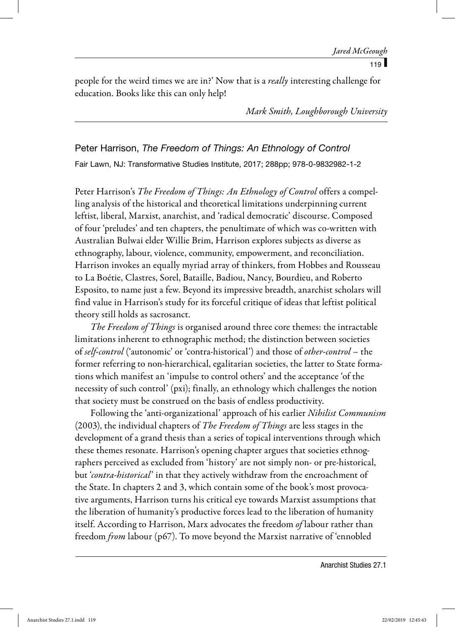people for the weird times we are in?' Now that is a *really* interesting challenge for education. Books like this can only help!

*Mark Smith, Loughborough University*

Peter Harrison, The Freedom of Things: An Ethnology of Control

Fair Lawn, NJ: Transformative Studies Institute, 2017; 288pp; 978-0-9832982-1-2

Peter Harrison's *The Freedom of Things: An Ethnology of Control* offers a compelling analysis of the historical and theoretical limitations underpinning current leftist, liberal, Marxist, anarchist, and 'radical democratic' discourse. Composed of four 'preludes' and ten chapters, the penultimate of which was co-written with Australian Bulwai elder Willie Brim, Harrison explores subjects as diverse as ethnography, labour, violence, community, empowerment, and reconciliation. Harrison invokes an equally myriad array of thinkers, from Hobbes and Rousseau to La Boétie, Clastres, Sorel, Bataille, Badiou, Nancy, Bourdieu, and Roberto Esposito, to name just a few. Beyond its impressive breadth, anarchist scholars will find value in Harrison's study for its forceful critique of ideas that leftist political theory still holds as sacrosanct.

*The Freedom of Things* is organised around three core themes: the intractable limitations inherent to ethnographic method; the distinction between societies of *self-control* ('autonomic' or 'contra-historical') and those of *other-control –* the former referring to non-hierarchical, egalitarian societies, the latter to State formations which manifest an 'impulse to control others' and the acceptance 'of the necessity of such control' (pxi); finally, an ethnology which challenges the notion that society must be construed on the basis of endless productivity.

Following the 'anti-organizational' approach of his earlier *Nihilist Communism*  (2003), the individual chapters of *The Freedom of Things* are less stages in the development of a grand thesis than a series of topical interventions through which these themes resonate. Harrison's opening chapter argues that societies ethnographers perceived as excluded from 'history' are not simply non- or pre-historical, but '*contra-historical*' in that they actively withdraw from the encroachment of the State. In chapters 2 and 3, which contain some of the book's most provocative arguments, Harrison turns his critical eye towards Marxist assumptions that the liberation of humanity's productive forces lead to the liberation of humanity itself. According to Harrison, Marx advocates the freedom *of* labour rather than freedom *from* labour (p67). To move beyond the Marxist narrative of 'ennobled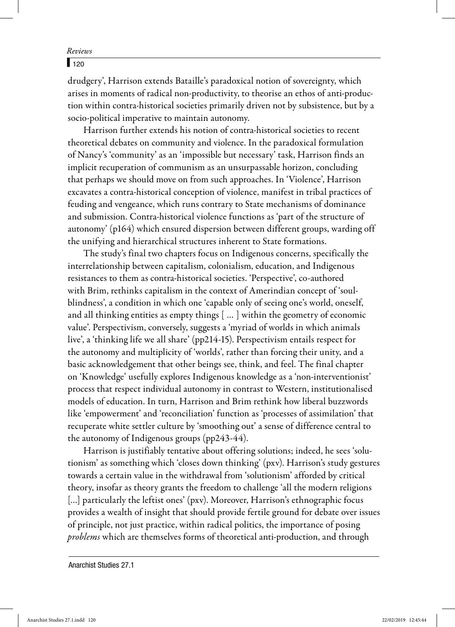### $\Gamma$ <sub>120</sub>

drudgery', Harrison extends Bataille's paradoxical notion of sovereignty, which arises in moments of radical non-productivity, to theorise an ethos of anti-production within contra-historical societies primarily driven not by subsistence, but by a socio-political imperative to maintain autonomy.

Harrison further extends his notion of contra-historical societies to recent theoretical debates on community and violence. In the paradoxical formulation of Nancy's 'community' as an 'impossible but necessary' task, Harrison finds an implicit recuperation of communism as an unsurpassable horizon, concluding that perhaps we should move on from such approaches. In 'Violence', Harrison excavates a contra-historical conception of violence, manifest in tribal practices of feuding and vengeance, which runs contrary to State mechanisms of dominance and submission. Contra-historical violence functions as 'part of the structure of autonomy' (p164) which ensured dispersion between different groups, warding off the unifying and hierarchical structures inherent to State formations.

The study's final two chapters focus on Indigenous concerns, specifically the interrelationship between capitalism, colonialism, education, and Indigenous resistances to them as contra-historical societies. 'Perspective', co-authored with Brim, rethinks capitalism in the context of Amerindian concept of 'soulblindness', a condition in which one 'capable only of seeing one's world, oneself, and all thinking entities as empty things [ … ] within the geometry of economic value'. Perspectivism, conversely, suggests a 'myriad of worlds in which animals live', a 'thinking life we all share' (pp214-15). Perspectivism entails respect for the autonomy and multiplicity of 'worlds', rather than forcing their unity, and a basic acknowledgement that other beings see, think, and feel. The final chapter on 'Knowledge' usefully explores Indigenous knowledge as a 'non-interventionist' process that respect individual autonomy in contrast to Western, institutionalised models of education. In turn, Harrison and Brim rethink how liberal buzzwords like 'empowerment' and 'reconciliation' function as 'processes of assimilation' that recuperate white settler culture by 'smoothing out' a sense of difference central to the autonomy of Indigenous groups (pp243-44).

Harrison is justifiably tentative about offering solutions; indeed, he sees 'solutionism' as something which 'closes down thinking' (pxv). Harrison's study gestures towards a certain value in the withdrawal from 'solutionism' afforded by critical theory, insofar as theory grants the freedom to challenge 'all the modern religions [...] particularly the leftist ones' (pxv). Moreover, Harrison's ethnographic focus provides a wealth of insight that should provide fertile ground for debate over issues of principle, not just practice, within radical politics, the importance of posing *problems* which are themselves forms of theoretical anti-production, and through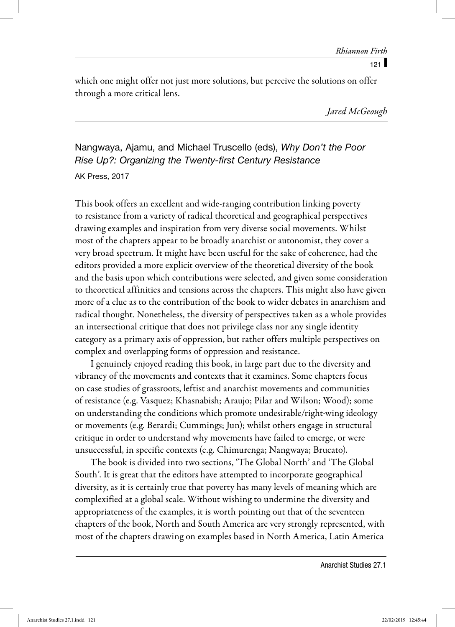which one might offer not just more solutions, but perceive the solutions on offer through a more critical lens.

*Jared McGeough*

Nangwaya, Ajamu, and Michael Truscello (eds), Why Don't the Poor Rise Up?: Organizing the Twenty-first Century Resistance AK Press, 2017

This book offers an excellent and wide-ranging contribution linking poverty to resistance from a variety of radical theoretical and geographical perspectives drawing examples and inspiration from very diverse social movements. Whilst most of the chapters appear to be broadly anarchist or autonomist, they cover a very broad spectrum. It might have been useful for the sake of coherence, had the editors provided a more explicit overview of the theoretical diversity of the book and the basis upon which contributions were selected, and given some consideration to theoretical affinities and tensions across the chapters. This might also have given more of a clue as to the contribution of the book to wider debates in anarchism and radical thought. Nonetheless, the diversity of perspectives taken as a whole provides an intersectional critique that does not privilege class nor any single identity category as a primary axis of oppression, but rather offers multiple perspectives on complex and overlapping forms of oppression and resistance.

I genuinely enjoyed reading this book, in large part due to the diversity and vibrancy of the movements and contexts that it examines. Some chapters focus on case studies of grassroots, leftist and anarchist movements and communities of resistance (e.g. Vasquez; Khasnabish; Araujo; Pilar and Wilson; Wood); some on understanding the conditions which promote undesirable/right-wing ideology or movements (e.g. Berardi; Cummings; Jun); whilst others engage in structural critique in order to understand why movements have failed to emerge, or were unsuccessful, in specific contexts (e.g. Chimurenga; Nangwaya; Brucato).

The book is divided into two sections, 'The Global North' and 'The Global South'. It is great that the editors have attempted to incorporate geographical diversity, as it is certainly true that poverty has many levels of meaning which are complexified at a global scale. Without wishing to undermine the diversity and appropriateness of the examples, it is worth pointing out that of the seventeen chapters of the book, North and South America are very strongly represented, with most of the chapters drawing on examples based in North America, Latin America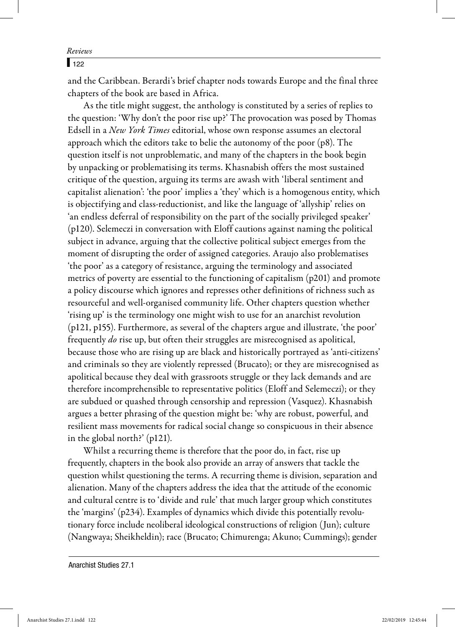#### $\sqrt{122}$

and the Caribbean. Berardi's brief chapter nods towards Europe and the final three chapters of the book are based in Africa.

As the title might suggest, the anthology is constituted by a series of replies to the question: 'Why don't the poor rise up?' The provocation was posed by Thomas Edsell in a *New York Times* editorial, whose own response assumes an electoral approach which the editors take to belie the autonomy of the poor (p8). The question itself is not unproblematic, and many of the chapters in the book begin by unpacking or problematising its terms. Khasnabish offers the most sustained critique of the question, arguing its terms are awash with 'liberal sentiment and capitalist alienation': 'the poor' implies a 'they' which is a homogenous entity, which is objectifying and class-reductionist, and like the language of 'allyship' relies on 'an endless deferral of responsibility on the part of the socially privileged speaker' (p120). Selemeczi in conversation with Eloff cautions against naming the political subject in advance, arguing that the collective political subject emerges from the moment of disrupting the order of assigned categories. Araujo also problematises 'the poor' as a category of resistance, arguing the terminology and associated metrics of poverty are essential to the functioning of capitalism  $(p201)$  and promote a policy discourse which ignores and represses other definitions of richness such as resourceful and well-organised community life. Other chapters question whether 'rising up' is the terminology one might wish to use for an anarchist revolution (p121, p155). Furthermore, as several of the chapters argue and illustrate, 'the poor' frequently *do* rise up, but often their struggles are misrecognised as apolitical, because those who are rising up are black and historically portrayed as 'anti-citizens' and criminals so they are violently repressed (Brucato); or they are misrecognised as apolitical because they deal with grassroots struggle or they lack demands and are therefore incomprehensible to representative politics (Eloff and Selemeczi); or they are subdued or quashed through censorship and repression (Vasquez). Khasnabish argues a better phrasing of the question might be: 'why are robust, powerful, and resilient mass movements for radical social change so conspicuous in their absence in the global north?' (p121).

Whilst a recurring theme is therefore that the poor do, in fact, rise up frequently, chapters in the book also provide an array of answers that tackle the question whilst questioning the terms. A recurring theme is division, separation and alienation. Many of the chapters address the idea that the attitude of the economic and cultural centre is to 'divide and rule' that much larger group which constitutes the 'margins' (p234). Examples of dynamics which divide this potentially revolutionary force include neoliberal ideological constructions of religion (Jun); culture (Nangwaya; Sheikheldin); race (Brucato; Chimurenga; Akuno; Cummings); gender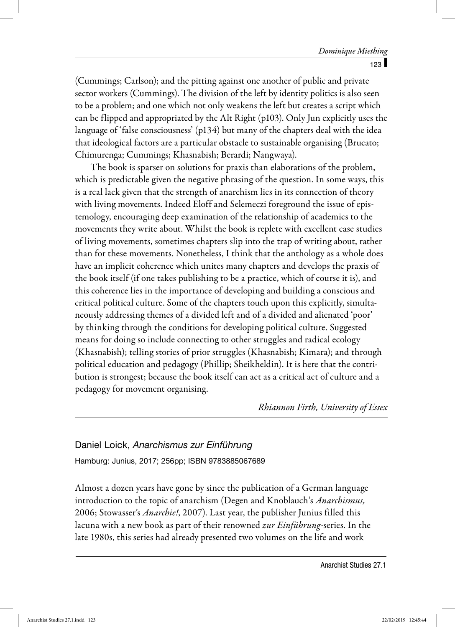(Cummings; Carlson); and the pitting against one another of public and private sector workers (Cummings). The division of the left by identity politics is also seen to be a problem; and one which not only weakens the left but creates a script which can be flipped and appropriated by the Alt Right (p103). Only Jun explicitly uses the language of 'false consciousness' (p134) but many of the chapters deal with the idea that ideological factors are a particular obstacle to sustainable organising (Brucato; Chimurenga; Cummings; Khasnabish; Berardi; Nangwaya).

The book is sparser on solutions for praxis than elaborations of the problem, which is predictable given the negative phrasing of the question. In some ways, this is a real lack given that the strength of anarchism lies in its connection of theory with living movements. Indeed Eloff and Selemeczi foreground the issue of epistemology, encouraging deep examination of the relationship of academics to the movements they write about. Whilst the book is replete with excellent case studies of living movements, sometimes chapters slip into the trap of writing about, rather than for these movements. Nonetheless, I think that the anthology as a whole does have an implicit coherence which unites many chapters and develops the praxis of the book itself (if one takes publishing to be a practice, which of course it is), and this coherence lies in the importance of developing and building a conscious and critical political culture. Some of the chapters touch upon this explicitly, simultaneously addressing themes of a divided left and of a divided and alienated 'poor' by thinking through the conditions for developing political culture. Suggested means for doing so include connecting to other struggles and radical ecology (Khasnabish); telling stories of prior struggles (Khasnabish; Kimara); and through political education and pedagogy (Phillip; Sheikheldin). It is here that the contribution is strongest; because the book itself can act as a critical act of culture and a pedagogy for movement organising.

*Rhiannon Firth, University of Essex*

## Daniel Loick, Anarchismus zur Einführung

Hamburg: Junius, 2017; 256pp; ISBN 9783885067689

Almost a dozen years have gone by since the publication of a German language introduction to the topic of anarchism (Degen and Knoblauch's *Anarchismus,*  2006; Stowasser's *Anarchie!*, 2007). Last year, the publisher Junius filled this lacuna with a new book as part of their renowned *zur Einführung*-series. In the late 1980s, this series had already presented two volumes on the life and work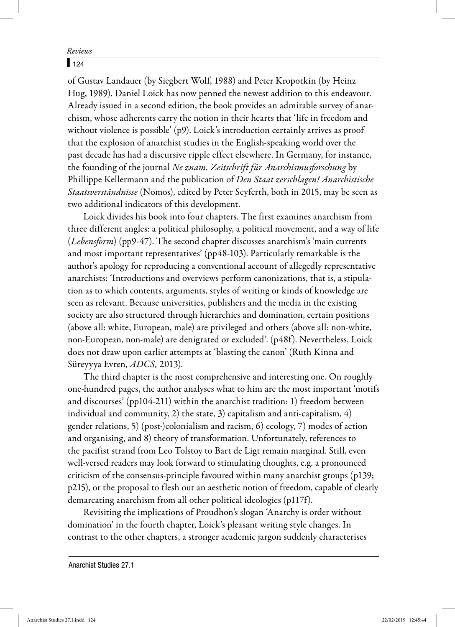## $\sqrt{124}$

of Gustav Landauer (by Siegbert Wolf, 1988) and Peter Kropotkin (by Heinz Hug, 1989). Daniel Loick has now penned the newest addition to this endeavour. Already issued in a second edition, the book provides an admirable survey of anarchism, whose adherents carry the notion in their hearts that 'life in freedom and without violence is possible' (p9). Loick's introduction certainly arrives as proof that the explosion of anarchist studies in the English-speaking world over the past decade has had a discursive ripple effect elsewhere. In Germany, for instance, the founding of the journal *Ne znam. Zeitschrift für Anarchismusforschung* by Phillippe Kellermann and the publication of *Den Staat zerschlagen! Anarchistische Staatsverständnisse* (Nomos), edited by Peter Seyferth, both in 2015, may be seen as two additional indicators of this development.

Loick divides his book into four chapters. The first examines anarchism from three different angles: a political philosophy, a political movement, and a way of life (*Lebensform*) (pp9-47). The second chapter discusses anarchism's 'main currents and most important representatives' (pp48-103). Particularly remarkable is the author's apology for reproducing a conventional account of allegedly representative anarchists: 'Introductions and overviews perform canonizations, that is, a stipulation as to which contents, arguments, styles of writing or kinds of knowledge are seen as relevant. Because universities, publishers and the media in the existing society are also structured through hierarchies and domination, certain positions (above all: white, European, male) are privileged and others (above all: non-white, non-European, non-male) are denigrated or excluded'. (p48f). Nevertheless, Loick does not draw upon earlier attempts at 'blasting the canon' (Ruth Kinna and Süreyyya Evren, *ADCS,* 2013).

The third chapter is the most comprehensive and interesting one. On roughly one-hundred pages, the author analyses what to him are the most important 'motifs and discourses' (pp104-211) within the anarchist tradition: 1) freedom between individual and community, 2) the state, 3) capitalism and anti-capitalism, 4) gender relations, 5) (post-)colonialism and racism, 6) ecology, 7) modes of action and organising, and 8) theory of transformation. Unfortunately, references to the pacifist strand from Leo Tolstoy to Bart de Ligt remain marginal. Still, even well-versed readers may look forward to stimulating thoughts, e.g. a pronounced criticism of the consensus-principle favoured within many anarchist groups (p139; p215), or the proposal to flesh out an aesthetic notion of freedom, capable of clearly demarcating anarchism from all other political ideologies (p117f).

Revisiting the implications of Proudhon's slogan 'Anarchy is order without domination' in the fourth chapter, Loick's pleasant writing style changes. In contrast to the other chapters, a stronger academic jargon suddenly characterises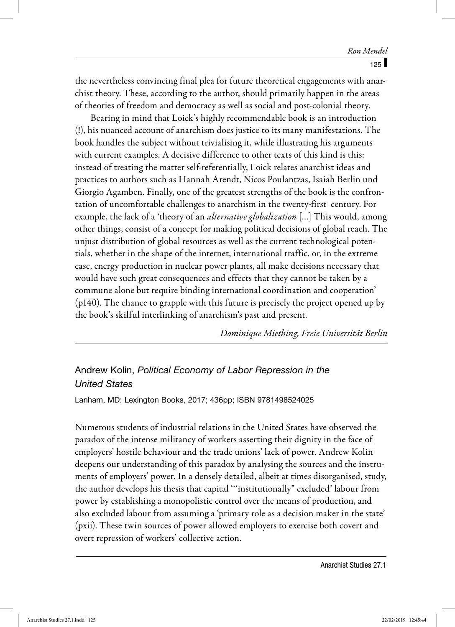the nevertheless convincing final plea for future theoretical engagements with anarchist theory. These, according to the author, should primarily happen in the areas of theories of freedom and democracy as well as social and post-colonial theory.

Bearing in mind that Loick's highly recommendable book is an introduction (!), his nuanced account of anarchism does justice to its many manifestations. The book handles the subject without trivialising it, while illustrating his arguments with current examples. A decisive difference to other texts of this kind is this: instead of treating the matter self-referentially, Loick relates anarchist ideas and practices to authors such as Hannah Arendt, Nicos Poulantzas, Isaiah Berlin und Giorgio Agamben. Finally, one of the greatest strengths of the book is the confrontation of uncomfortable challenges to anarchism in the twenty-first century. For example, the lack of a 'theory of an *alternative globalization* […] This would, among other things, consist of a concept for making political decisions of global reach. The unjust distribution of global resources as well as the current technological potentials, whether in the shape of the internet, international traffic, or, in the extreme case, energy production in nuclear power plants, all make decisions necessary that would have such great consequences and effects that they cannot be taken by a commune alone but require binding international coordination and cooperation' (p140). The chance to grapple with this future is precisely the project opened up by the book's skilful interlinking of anarchism's past and present.

*Dominique Miething, Freie Universität Berlin*

# Andrew Kolin, Political Economy of Labor Repression in the United States

Lanham, MD: Lexington Books, 2017; 436pp; ISBN 9781498524025

Numerous students of industrial relations in the United States have observed the paradox of the intense militancy of workers asserting their dignity in the face of employers' hostile behaviour and the trade unions' lack of power. Andrew Kolin deepens our understanding of this paradox by analysing the sources and the instruments of employers' power. In a densely detailed, albeit at times disorganised, study, the author develops his thesis that capital '''institutionally" excluded' labour from power by establishing a monopolistic control over the means of production, and also excluded labour from assuming a 'primary role as a decision maker in the state' (pxii). These twin sources of power allowed employers to exercise both covert and overt repression of workers' collective action.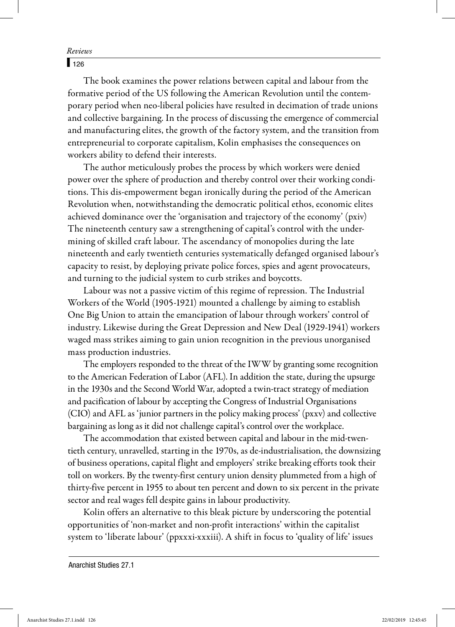$\Gamma$ <sub>126</sub>

The book examines the power relations between capital and labour from the formative period of the US following the American Revolution until the contemporary period when neo-liberal policies have resulted in decimation of trade unions and collective bargaining. In the process of discussing the emergence of commercial and manufacturing elites, the growth of the factory system, and the transition from entrepreneurial to corporate capitalism, Kolin emphasises the consequences on workers ability to defend their interests.

The author meticulously probes the process by which workers were denied power over the sphere of production and thereby control over their working conditions. This dis-empowerment began ironically during the period of the American Revolution when, notwithstanding the democratic political ethos, economic elites achieved dominance over the 'organisation and trajectory of the economy' (pxiv) The nineteenth century saw a strengthening of capital's control with the undermining of skilled craft labour. The ascendancy of monopolies during the late nineteenth and early twentieth centuries systematically defanged organised labour's capacity to resist, by deploying private police forces, spies and agent provocateurs, and turning to the judicial system to curb strikes and boycotts.

Labour was not a passive victim of this regime of repression. The Industrial Workers of the World (1905-1921) mounted a challenge by aiming to establish One Big Union to attain the emancipation of labour through workers' control of industry. Likewise during the Great Depression and New Deal (1929-1941) workers waged mass strikes aiming to gain union recognition in the previous unorganised mass production industries.

The employers responded to the threat of the IWW by granting some recognition to the American Federation of Labor (AFL). In addition the state, during the upsurge in the 1930s and the Second World War, adopted a twin-tract strategy of mediation and pacification of labour by accepting the Congress of Industrial Organisations (CIO) and AFL as 'junior partners in the policy making process' (pxxv) and collective bargaining as long as it did not challenge capital's control over the workplace.

The accommodation that existed between capital and labour in the mid-twentieth century, unravelled, starting in the 1970s, as de-industrialisation, the downsizing of business operations, capital flight and employers' strike breaking efforts took their toll on workers. By the twenty-first century union density plummeted from a high of thirty-five percent in 1955 to about ten percent and down to six percent in the private sector and real wages fell despite gains in labour productivity.

Kolin offers an alternative to this bleak picture by underscoring the potential opportunities of 'non-market and non-profit interactions' within the capitalist system to 'liberate labour' (ppxxxi-xxxiii). A shift in focus to 'quality of life' issues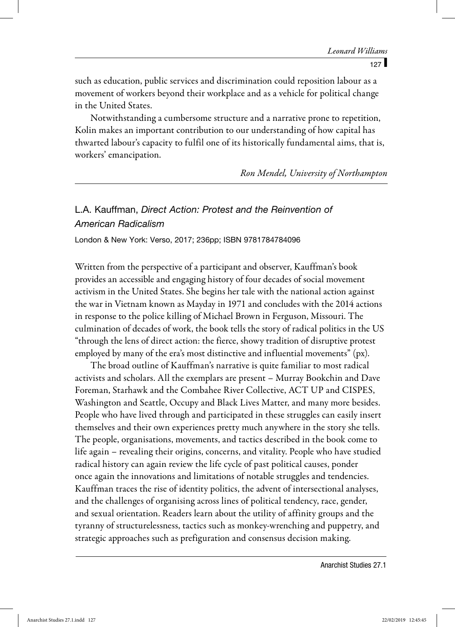such as education, public services and discrimination could reposition labour as a movement of workers beyond their workplace and as a vehicle for political change in the United States.

Notwithstanding a cumbersome structure and a narrative prone to repetition, Kolin makes an important contribution to our understanding of how capital has thwarted labour's capacity to fulfil one of its historically fundamental aims, that is, workers' emancipation.

 *Ron Mendel, University of Northampton*

# L.A. Kauffman, Direct Action: Protest and the Reinvention of American Radicalism

London & New York: Verso, 2017; 236pp; ISBN 9781784784096

Written from the perspective of a participant and observer, Kauffman's book provides an accessible and engaging history of four decades of social movement activism in the United States. She begins her tale with the national action against the war in Vietnam known as Mayday in 1971 and concludes with the 2014 actions in response to the police killing of Michael Brown in Ferguson, Missouri. The culmination of decades of work, the book tells the story of radical politics in the US "through the lens of direct action: the fierce, showy tradition of disruptive protest employed by many of the era's most distinctive and influential movements" (px).

The broad outline of Kauffman's narrative is quite familiar to most radical activists and scholars. All the exemplars are present – Murray Bookchin and Dave Foreman, Starhawk and the Combahee River Collective, ACT UP and CISPES, Washington and Seattle, Occupy and Black Lives Matter, and many more besides. People who have lived through and participated in these struggles can easily insert themselves and their own experiences pretty much anywhere in the story she tells. The people, organisations, movements, and tactics described in the book come to life again – revealing their origins, concerns, and vitality. People who have studied radical history can again review the life cycle of past political causes, ponder once again the innovations and limitations of notable struggles and tendencies. Kauffman traces the rise of identity politics, the advent of intersectional analyses, and the challenges of organising across lines of political tendency, race, gender, and sexual orientation. Readers learn about the utility of affinity groups and the tyranny of structurelessness, tactics such as monkey-wrenching and puppetry, and strategic approaches such as prefiguration and consensus decision making.